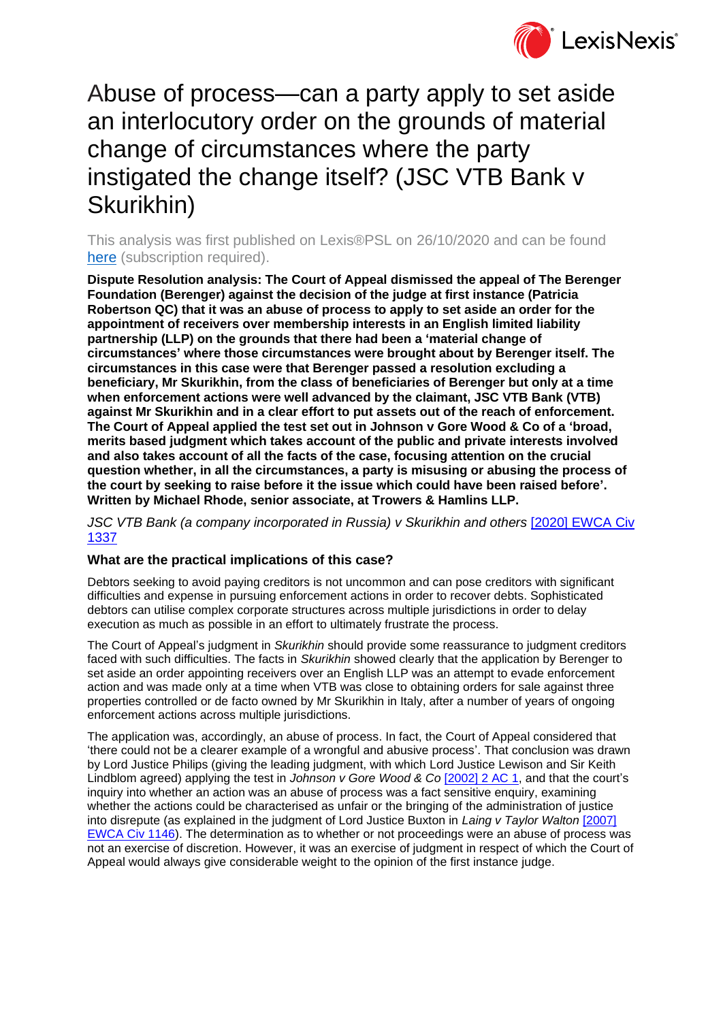

# Abuse of process—can a party apply to set aside an interlocutory order on the grounds of material change of circumstances where the party instigated the change itself? (JSC VTB Bank v Skurikhin)

This analysis was first published on Lexis®PSL on 26/10/2020 and can be found [here](https://www.lexisnexis.com/uk/lexispsl/disputeresolution/docfromresult/D-WA-A-EB-EB-MsSAYWZ-UUA-UZEYAAUUW-U-U-U-U-U-U-AZUDAZUWBB-AZUVDVAUBB-ADZUBVCAC-U-U/1/412012?lni=6152-TVR3-GXFD-84V2-00000-00) (subscription required).

**Dispute Resolution analysis: The Court of Appeal dismissed the appeal of The Berenger Foundation (Berenger) against the decision of the judge at first instance (Patricia Robertson QC) that it was an abuse of process to apply to set aside an order for the appointment of receivers over membership interests in an English limited liability partnership (LLP) on the grounds that there had been a 'material change of circumstances' where those circumstances were brought about by Berenger itself. The circumstances in this case were that Berenger passed a resolution excluding a beneficiary, Mr Skurikhin, from the class of beneficiaries of Berenger but only at a time when enforcement actions were well advanced by the claimant, JSC VTB Bank (VTB) against Mr Skurikhin and in a clear effort to put assets out of the reach of enforcement. The Court of Appeal applied the test set out in Johnson v Gore Wood & Co of a 'broad, merits based judgment which takes account of the public and private interests involved and also takes account of all the facts of the case, focusing attention on the crucial question whether, in all the circumstances, a party is misusing or abusing the process of the court by seeking to raise before it the issue which could have been raised before'. Written by Michael Rhode, senior associate, at Trowers & Hamlins LLP.**

*JSC VTB Bank (a company incorporated in Russia) v Skurikhin and others* [\[2020\] EWCA Civ](https://www.lexisnexis.com/uk/lexispsl/disputeresolution/citationlinkHandler.faces?bct=A&service=citation&risb=&EWCACIV&$sel1!%252020%25$year!%252020%25$page!%251337%25)  [1337](https://www.lexisnexis.com/uk/lexispsl/disputeresolution/citationlinkHandler.faces?bct=A&service=citation&risb=&EWCACIV&$sel1!%252020%25$year!%252020%25$page!%251337%25)

## **What are the practical implications of this case?**

Debtors seeking to avoid paying creditors is not uncommon and can pose creditors with significant difficulties and expense in pursuing enforcement actions in order to recover debts. Sophisticated debtors can utilise complex corporate structures across multiple jurisdictions in order to delay execution as much as possible in an effort to ultimately frustrate the process.

The Court of Appeal's judgment in *Skurikhin* should provide some reassurance to judgment creditors faced with such difficulties. The facts in *Skurikhin* showed clearly that the application by Berenger to set aside an order appointing receivers over an English LLP was an attempt to evade enforcement action and was made only at a time when VTB was close to obtaining orders for sale against three properties controlled or de facto owned by Mr Skurikhin in Italy, after a number of years of ongoing enforcement actions across multiple jurisdictions.

The application was, accordingly, an abuse of process. In fact, the Court of Appeal considered that 'there could not be a clearer example of a wrongful and abusive process'. That conclusion was drawn by Lord Justice Philips (giving the leading judgment, with which Lord Justice Lewison and Sir Keith Lindblom agreed) applying the test in *Johnson v Gore Wood & Co* [\[2002\] 2 AC 1,](https://www.lexisnexis.com/uk/lexispsl/disputeresolution/citationlinkHandler.faces?bct=A&service=citation&risb=&AC&$sel1!%252002%25$year!%252002%25$sel2!%252%25$vol!%252%25$page!%251%25) and that the court's inquiry into whether an action was an abuse of process was a fact sensitive enquiry, examining whether the actions could be characterised as unfair or the bringing of the administration of justice into disrepute (as explained in the judgment of Lord Justice Buxton in *Laing v Taylor Walton* [\[2007\]](https://www.lexisnexis.com/uk/lexispsl/disputeresolution/citationlinkHandler.faces?bct=A&service=citation&risb=&EWCACIV&$sel1!%252007%25$year!%252007%25$page!%251146%25)  [EWCA Civ 1146\)](https://www.lexisnexis.com/uk/lexispsl/disputeresolution/citationlinkHandler.faces?bct=A&service=citation&risb=&EWCACIV&$sel1!%252007%25$year!%252007%25$page!%251146%25). The determination as to whether or not proceedings were an abuse of process was not an exercise of discretion. However, it was an exercise of judgment in respect of which the Court of Appeal would always give considerable weight to the opinion of the first instance judge.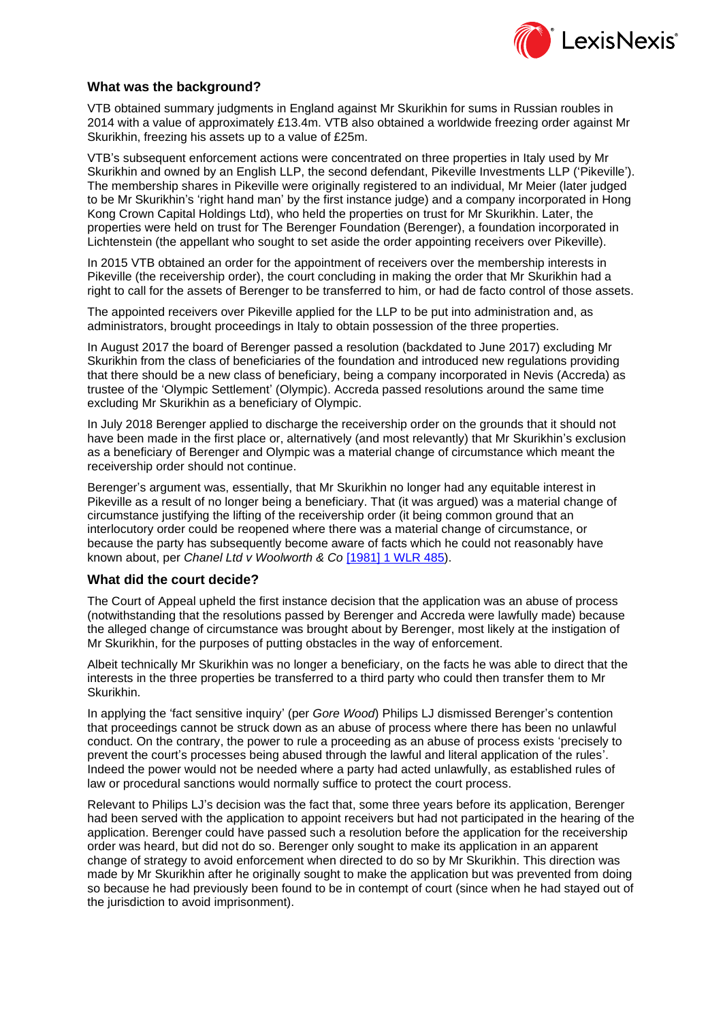

### **What was the background?**

VTB obtained summary judgments in England against Mr Skurikhin for sums in Russian roubles in 2014 with a value of approximately £13.4m. VTB also obtained a worldwide freezing order against Mr Skurikhin, freezing his assets up to a value of £25m.

VTB's subsequent enforcement actions were concentrated on three properties in Italy used by Mr Skurikhin and owned by an English LLP, the second defendant, Pikeville Investments LLP ('Pikeville'). The membership shares in Pikeville were originally registered to an individual, Mr Meier (later judged to be Mr Skurikhin's 'right hand man' by the first instance judge) and a company incorporated in Hong Kong Crown Capital Holdings Ltd), who held the properties on trust for Mr Skurikhin. Later, the properties were held on trust for The Berenger Foundation (Berenger), a foundation incorporated in Lichtenstein (the appellant who sought to set aside the order appointing receivers over Pikeville).

In 2015 VTB obtained an order for the appointment of receivers over the membership interests in Pikeville (the receivership order), the court concluding in making the order that Mr Skurikhin had a right to call for the assets of Berenger to be transferred to him, or had de facto control of those assets.

The appointed receivers over Pikeville applied for the LLP to be put into administration and, as administrators, brought proceedings in Italy to obtain possession of the three properties.

In August 2017 the board of Berenger passed a resolution (backdated to June 2017) excluding Mr Skurikhin from the class of beneficiaries of the foundation and introduced new regulations providing that there should be a new class of beneficiary, being a company incorporated in Nevis (Accreda) as trustee of the 'Olympic Settlement' (Olympic). Accreda passed resolutions around the same time excluding Mr Skurikhin as a beneficiary of Olympic.

In July 2018 Berenger applied to discharge the receivership order on the grounds that it should not have been made in the first place or, alternatively (and most relevantly) that Mr Skurikhin's exclusion as a beneficiary of Berenger and Olympic was a material change of circumstance which meant the receivership order should not continue.

Berenger's argument was, essentially, that Mr Skurikhin no longer had any equitable interest in Pikeville as a result of no longer being a beneficiary. That (it was argued) was a material change of circumstance justifying the lifting of the receivership order (it being common ground that an interlocutory order could be reopened where there was a material change of circumstance, or because the party has subsequently become aware of facts which he could not reasonably have known about, per *Chanel Ltd v Woolworth & Co* [\[1981\] 1 WLR 485\)](https://www.lexisnexis.com/uk/lexispsl/disputeresolution/citationlinkHandler.faces?bct=A&service=citation&risb=&WLR&$sel1!%251981%25$year!%251981%25$sel2!%251%25$vol!%251%25$page!%25485%25).

#### **What did the court decide?**

The Court of Appeal upheld the first instance decision that the application was an abuse of process (notwithstanding that the resolutions passed by Berenger and Accreda were lawfully made) because the alleged change of circumstance was brought about by Berenger, most likely at the instigation of Mr Skurikhin, for the purposes of putting obstacles in the way of enforcement.

Albeit technically Mr Skurikhin was no longer a beneficiary, on the facts he was able to direct that the interests in the three properties be transferred to a third party who could then transfer them to Mr Skurikhin.

In applying the 'fact sensitive inquiry' (per *Gore Wood*) Philips LJ dismissed Berenger's contention that proceedings cannot be struck down as an abuse of process where there has been no unlawful conduct. On the contrary, the power to rule a proceeding as an abuse of process exists 'precisely to prevent the court's processes being abused through the lawful and literal application of the rules'. Indeed the power would not be needed where a party had acted unlawfully, as established rules of law or procedural sanctions would normally suffice to protect the court process.

Relevant to Philips LJ's decision was the fact that, some three years before its application, Berenger had been served with the application to appoint receivers but had not participated in the hearing of the application. Berenger could have passed such a resolution before the application for the receivership order was heard, but did not do so. Berenger only sought to make its application in an apparent change of strategy to avoid enforcement when directed to do so by Mr Skurikhin. This direction was made by Mr Skurikhin after he originally sought to make the application but was prevented from doing so because he had previously been found to be in contempt of court (since when he had stayed out of the jurisdiction to avoid imprisonment).